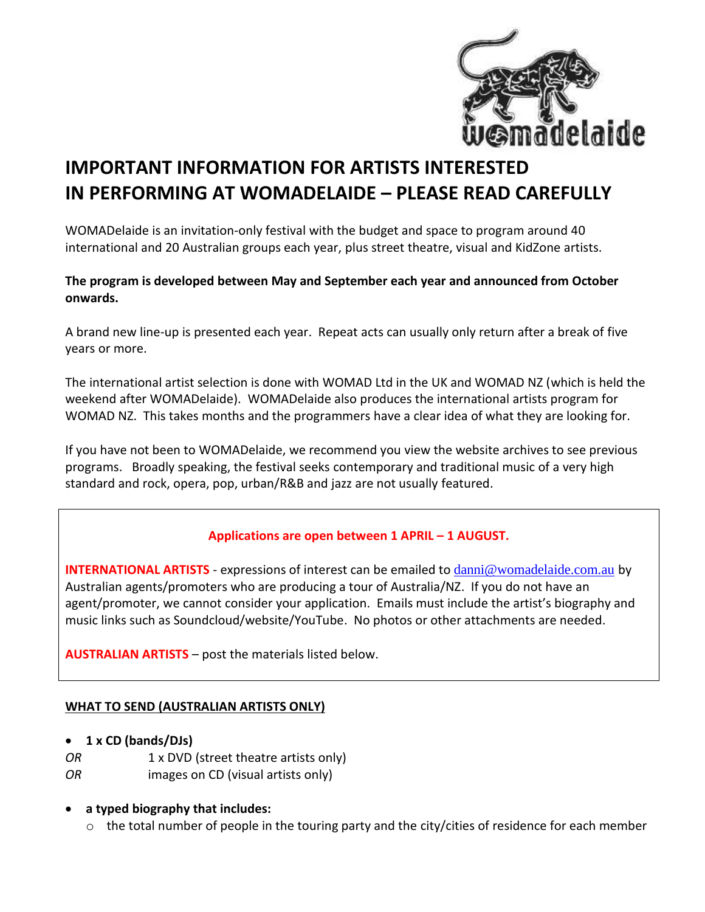

# **IMPORTANT INFORMATION FOR ARTISTS INTERESTED IN PERFORMING AT WOMADELAIDE – PLEASE READ CAREFULLY**

WOMADelaide is an invitation-only festival with the budget and space to program around 40 international and 20 Australian groups each year, plus street theatre, visual and KidZone artists.

#### **The program is developed between May and September each year and announced from October onwards.**

A brand new line-up is presented each year. Repeat acts can usually only return after a break of five years or more.

The international artist selection is done with WOMAD Ltd in the UK and WOMAD NZ (which is held the weekend after WOMADelaide). WOMADelaide also produces the international artists program for WOMAD NZ. This takes months and the programmers have a clear idea of what they are looking for.

If you have not been to WOMADelaide, we recommend you view the website archives to see previous programs. Broadly speaking, the festival seeks contemporary and traditional music of a very high standard and rock, opera, pop, urban/R&B and jazz are not usually featured.

## **Applications are open between 1 APRIL – 1 AUGUST.**

**INTERNATIONAL ARTISTS** - expressions of interest can be emailed to [danni@womadelaide.com.au](mailto:danni@womadelaide.com.au) by Australian agents/promoters who are producing a tour of Australia/NZ. If you do not have an agent/promoter, we cannot consider your application. Emails must include the artist's biography and music links such as Soundcloud/website/YouTube. No photos or other attachments are needed.

**AUSTRALIAN ARTISTS** – post the materials listed below.

## **WHAT TO SEND (AUSTRALIAN ARTISTS ONLY)**

- **1 x CD (bands/DJs)**
- *OR* 1 x DVD (street theatre artists only)
- *OR* images on CD (visual artists only)

## **a typed biography that includes:**

 $\circ$  the total number of people in the touring party and the city/cities of residence for each member